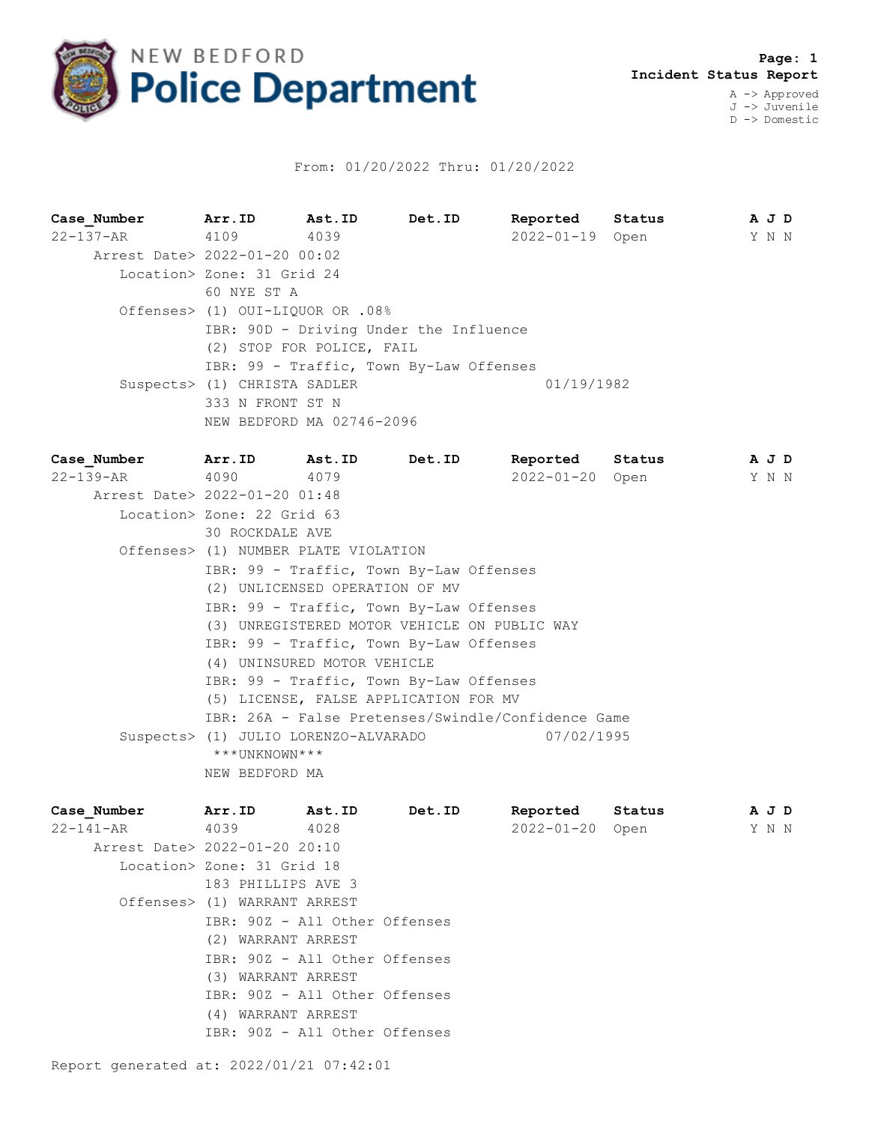

## From: 01/20/2022 Thru: 01/20/2022

**Case\_Number Arr.ID Ast.ID Det.ID Reported Status A J D** 22-137-AR 4109 4039 2022-01-19 Open Y N N Arrest Date> 2022-01-20 00:02 Location> Zone: 31 Grid 24 60 NYE ST A Offenses> (1) OUI-LIQUOR OR .08% IBR: 90D - Driving Under the Influence (2) STOP FOR POLICE, FAIL IBR: 99 - Traffic, Town By-Law Offenses Suspects> (1) CHRISTA SADLER 01/19/1982 333 N FRONT ST N NEW BEDFORD MA 02746-2096

**Case\_Number Arr.ID Ast.ID Det.ID Reported Status A J D** 22-139-AR 4090 4079 2022-01-20 Open Y N N Arrest Date> 2022-01-20 01:48 Location> Zone: 22 Grid 63 30 ROCKDALE AVE Offenses> (1) NUMBER PLATE VIOLATION IBR: 99 - Traffic, Town By-Law Offenses (2) UNLICENSED OPERATION OF MV IBR: 99 - Traffic, Town By-Law Offenses (3) UNREGISTERED MOTOR VEHICLE ON PUBLIC WAY IBR: 99 - Traffic, Town By-Law Offenses (4) UNINSURED MOTOR VEHICLE IBR: 99 - Traffic, Town By-Law Offenses (5) LICENSE, FALSE APPLICATION FOR MV IBR: 26A - False Pretenses/Swindle/Confidence Game Suspects> (1) JULIO LORENZO-ALVARADO 07/02/1995 \*\*\*UNKNOWN\*\*\* NEW BEDFORD MA

| Case Number                   | Arr.ID                        | <b>Ast.ID</b> | Det.ID | Reported Status |  |  | A J D |  |
|-------------------------------|-------------------------------|---------------|--------|-----------------|--|--|-------|--|
| 22-141-AR                     | 4039                          | 4028          |        | 2022-01-20 Open |  |  | Y N N |  |
| Arrest Date> 2022-01-20 20:10 |                               |               |        |                 |  |  |       |  |
|                               | Location> Zone: 31 Grid 18    |               |        |                 |  |  |       |  |
|                               | 183 PHILLIPS AVE 3            |               |        |                 |  |  |       |  |
|                               | Offenses> (1) WARRANT ARREST  |               |        |                 |  |  |       |  |
|                               | IBR: 90Z - All Other Offenses |               |        |                 |  |  |       |  |
|                               | (2) WARRANT ARREST            |               |        |                 |  |  |       |  |
|                               | IBR: 90Z - All Other Offenses |               |        |                 |  |  |       |  |
|                               | (3) WARRANT ARREST            |               |        |                 |  |  |       |  |
|                               | IBR: 90Z - All Other Offenses |               |        |                 |  |  |       |  |
|                               | (4) WARRANT ARREST            |               |        |                 |  |  |       |  |
|                               | IBR: 90Z - All Other Offenses |               |        |                 |  |  |       |  |
|                               |                               |               |        |                 |  |  |       |  |